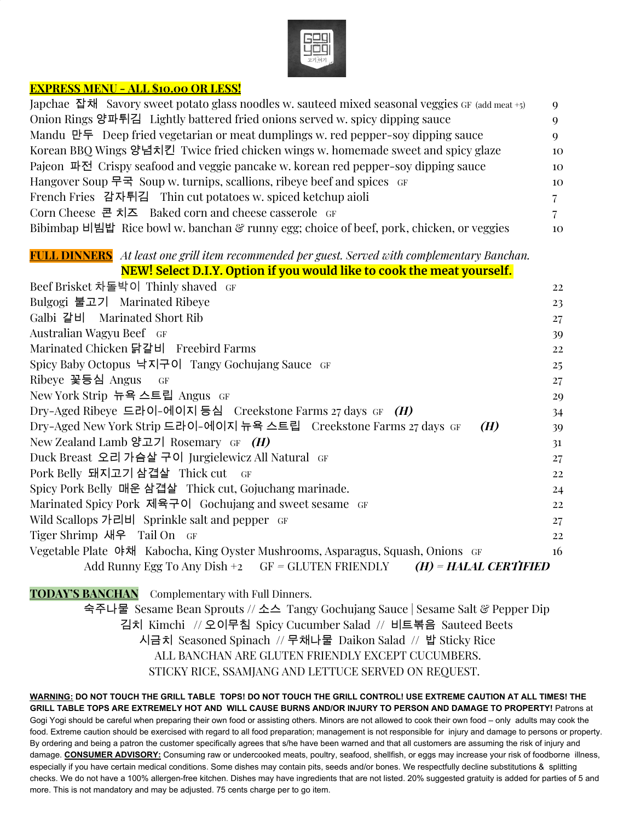

### **EXPRESS MENU - ALL \$10.00 OR LESS!**

| Japchae 잡채 Savory sweet potato glass noodles w. sauteed mixed seasonal veggies GF (add meat +5) |          |
|-------------------------------------------------------------------------------------------------|----------|
| Onion Rings 양파튀김 Lightly battered fried onions served w. spicy dipping sauce                    | О        |
| Mandu 만두 Deep fried vegetarian or meat dumplings w. red pepper-soy dipping sauce                | $\Omega$ |
| Korean BBQ Wings 양념치킨 Twice fried chicken wings w. homemade sweet and spicy glaze               | 10       |
| Pajeon 파전 Crispy seafood and veggie pancake w. korean red pepper-soy dipping sauce              | 10       |
| Hangover Soup 무국 Soup w. turnips, scallions, ribeye beef and spices GF                          | 10       |
| French Fries 감자튀김 Thin cut potatoes w. spiced ketchup aioli                                     | 7.       |
| Corn Cheese 콘 치즈 Baked corn and cheese casserole $GF$                                           | $7 -$    |
| Bibimbap 비빔밥 Rice bowl w. banchan & runny egg; choice of beef, pork, chicken, or veggies        | 10       |

#### **FULL DINNERS** *At least one grill item recommended per guest. Served with complementary Banchan.* **NEW! Select D.I.Y. Option if you would like to cook the meat yourself.**

| <u>INEW: SCIECT D.I.I. OPHOILII YOU WOULD HAE TO COOK HIE HIEAT YOUISEIL.</u>   |    |
|---------------------------------------------------------------------------------|----|
| Beef Brisket 차돌박이 Thinly shaved GF                                              | 22 |
| Bulgogi 불고기 Marinated Ribeye                                                    | 23 |
| Galbi 갈비 Marinated Short Rib                                                    | 27 |
| Australian Wagyu Beef GF                                                        | 39 |
| Marinated Chicken 닭갈비 Freebird Farms                                            | 22 |
| Spicy Baby Octopus 낙지구이 Tangy Gochujang Sauce GF                                | 25 |
| Ribeye 꽃등심 Angus<br>GF                                                          | 27 |
| New York Strip 뉴욕 스트립 Angus GF                                                  | 29 |
| Dry-Aged Ribeye 드라이-에이지 등심 Creekstone Farms 27 days GF $(H)$                    | 34 |
| Dry-Aged New York Strip 드라이-에이지 뉴욕 스트립 - Creekstone Farms 27 days GF<br>(H)     | 39 |
| New Zealand Lamb 양고기 Rosemary $GF$ ( <i>H</i> )                                 | 31 |
| Duck Breast 오리 가슴살 구이 Jurgielewicz All Natural GF                               | 27 |
| Pork Belly 돼지고기 삼겹살 Thick cut GF                                                | 22 |
| Spicy Pork Belly 매운 삼겹살 Thick cut, Gojuchang marinade.                          | 24 |
| Marinated Spicy Pork 제육구이 Gochujang and sweet sesame GF                         | 22 |
| Wild Scallops 가리비 Sprinkle salt and pepper GF                                   | 27 |
| Tiger Shrimp 새우 Tail On GF                                                      | 22 |
| Vegetable Plate 야채 Kabocha, King Oyster Mushrooms, Asparagus, Squash, Onions GF | 16 |
| Add Runny Egg To Any Dish +2 $GF = GLUTEN$ FRIENDLY $(H) = HALAL$ CERTIFIED     |    |

**TODAY'S BANCHAN** Complementary with Full Dinners.

숙주나물 Sesame Bean Sprouts // 소스 Tangy Gochujang Sauce | Sesame Salt & Pepper Dip 김치 Kimchi // 오이무침 Spicy Cucumber Salad // 비트볶음 Sauteed Beets 시금치 Seasoned Spinach // 무채나물 Daikon Salad // 밥 Sticky Rice ALL BANCHAN ARE GLUTEN FRIENDLY EXCEPT CUCUMBERS. STICKY RICE, SSAMJANG AND LETTUCE SERVED ON REQUEST.

WARNING: DO NOT TOUCH THE GRILL TABLE TOPS! DO NOT TOUCH THE GRILL CONTROL! USE EXTREME CAUTION AT ALL TIMES! THE GRILL TABLE TOPS ARE EXTREMELY HOT AND WILL CAUSE BURNS AND/OR INJURY TO PERSON AND DAMAGE TO PROPERTY! Patrons at Gogi Yogi should be careful when preparing their own food or assisting others. Minors are not allowed to cook their own food – only adults may cook the food. Extreme caution should be exercised with regard to all food preparation; management is not responsible for injury and damage to persons or property. By ordering and being a patron the customer specifically agrees that s/he have been warned and that all customers are assuming the risk of injury and damage. **CONSUMER ADVISORY:** Consuming raw or undercooked meats, poultry, seafood, shellfish, or eggs may increase your risk of foodborne illness, especially if you have certain medical conditions. Some dishes may contain pits, seeds and/or bones. We respectfully decline substitutions & splitting checks. We do not have a 100% allergen-free kitchen. Dishes may have ingredients that are not listed. 20% suggested gratuity is added for parties of 5 and more. This is not mandatory and may be adjusted. 75 cents charge per to go item.